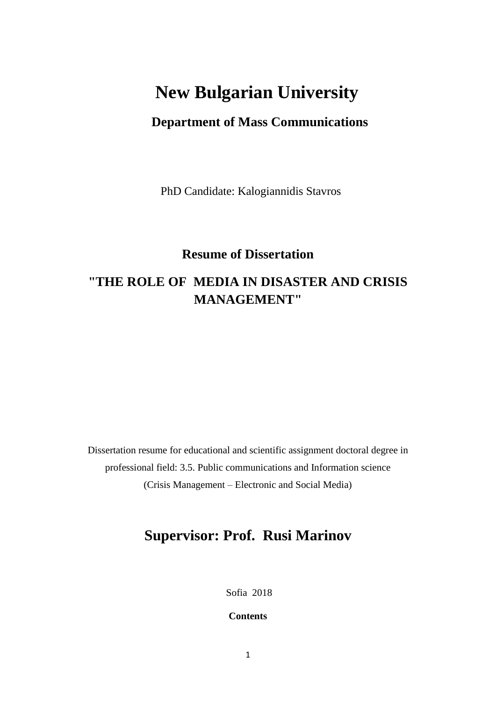# **New Bulgarian University**

# **Department of Mass Communications**

PhD Candidate: Kalogiannidis Stavros

# **Resume of Dissertation**

# **"THE ROLE OF MEDIA IN DISASTER AND CRISIS MANAGEMENT"**

Dissertation resume for educational and scientific assignment doctoral degree in professional field: 3.5. Public communications and Information science (Crisis Management – Electronic and Social Media)

# **Supervisor: Prof. Rusi Marinov**

Sofia 2018

**Contents**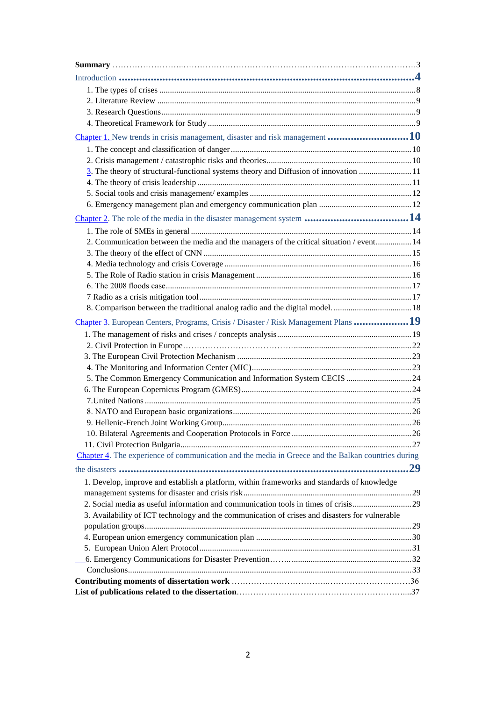| Chapter 1. New trends in crisis management, disaster and risk management 10                        |  |
|----------------------------------------------------------------------------------------------------|--|
|                                                                                                    |  |
|                                                                                                    |  |
| 3. The theory of structural-functional systems theory and Diffusion of innovation  11              |  |
|                                                                                                    |  |
|                                                                                                    |  |
|                                                                                                    |  |
|                                                                                                    |  |
|                                                                                                    |  |
| 2. Communication between the media and the managers of the critical situation / event 14           |  |
|                                                                                                    |  |
|                                                                                                    |  |
|                                                                                                    |  |
|                                                                                                    |  |
|                                                                                                    |  |
|                                                                                                    |  |
| Chapter 3. European Centers, Programs, Crisis / Disaster / Risk Management Plans 19                |  |
|                                                                                                    |  |
|                                                                                                    |  |
|                                                                                                    |  |
|                                                                                                    |  |
| 5. The Common Emergency Communication and Information System CECIS  24                             |  |
|                                                                                                    |  |
|                                                                                                    |  |
|                                                                                                    |  |
|                                                                                                    |  |
|                                                                                                    |  |
|                                                                                                    |  |
| Chapter 4. The experience of communication and the media in Greece and the Balkan countries during |  |
|                                                                                                    |  |
| 1. Develop, improve and establish a platform, within frameworks and standards of knowledge         |  |
|                                                                                                    |  |
| 2. Social media as useful information and communication tools in times of crisis29                 |  |
| 3. Availability of ICT technology and the communication of crises and disasters for vulnerable     |  |
|                                                                                                    |  |
|                                                                                                    |  |
|                                                                                                    |  |
|                                                                                                    |  |
|                                                                                                    |  |
|                                                                                                    |  |
|                                                                                                    |  |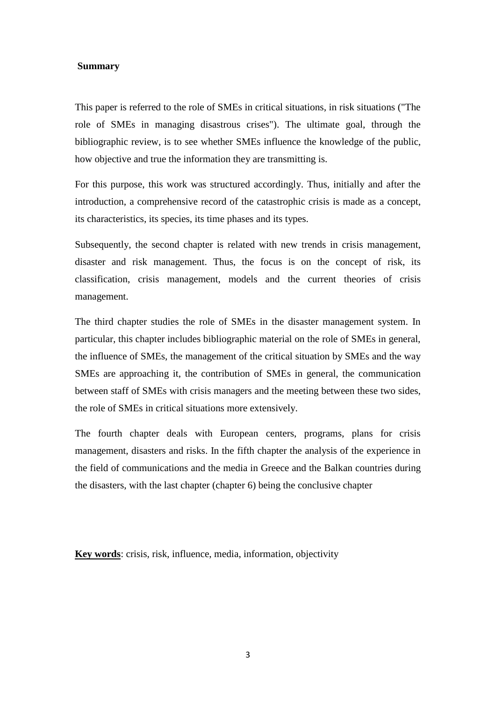#### **Summary**

This paper is referred to the role of SMEs in critical situations, in risk situations ("The role of SMEs in managing disastrous crises"). The ultimate goal, through the bibliographic review, is to see whether SMEs influence the knowledge of the public, how objective and true the information they are transmitting is.

For this purpose, this work was structured accordingly. Thus, initially and after the introduction, a comprehensive record of the catastrophic crisis is made as a concept, its characteristics, its species, its time phases and its types.

Subsequently, the second chapter is related with new trends in crisis management, disaster and risk management. Thus, the focus is on the concept of risk, its classification, crisis management, models and the current theories of crisis management.

The third chapter studies the role of SMEs in the disaster management system. In particular, this chapter includes bibliographic material on the role of SMEs in general, the influence of SMEs, the management of the critical situation by SMEs and the way SMEs are approaching it, the contribution of SMEs in general, the communication between staff of SMEs with crisis managers and the meeting between these two sides, the role of SMEs in critical situations more extensively.

The fourth chapter deals with European centers, programs, plans for crisis management, disasters and risks. In the fifth chapter the analysis of the experience in the field of communications and the media in Greece and the Balkan countries during the disasters, with the last chapter (chapter 6) being the conclusive chapter

**Key words**: crisis, risk, influence, media, information, objectivity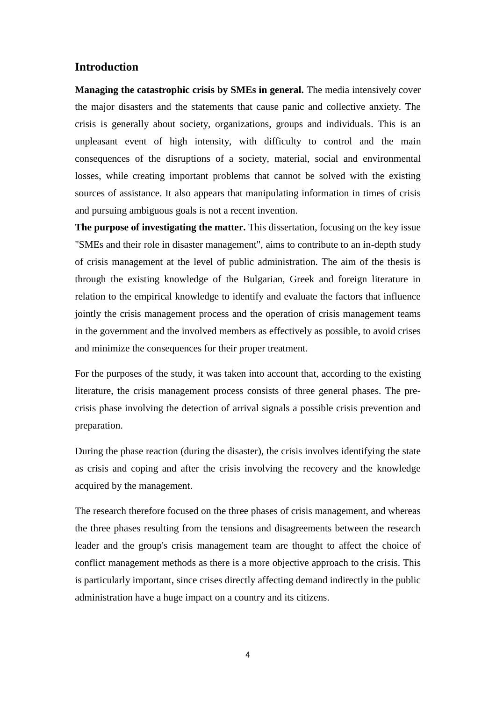### **Introduction**

**Managing the catastrophic crisis by SMEs in general.** The media intensively cover the major disasters and the statements that cause panic and collective anxiety. The crisis is generally about society, organizations, groups and individuals. This is an unpleasant event of high intensity, with difficulty to control and the main consequences of the disruptions of a society, material, social and environmental losses, while creating important problems that cannot be solved with the existing sources of assistance. It also appears that manipulating information in times of crisis and pursuing ambiguous goals is not a recent invention.

**The purpose of investigating the matter.** This dissertation, focusing on the key issue "SMEs and their role in disaster management", aims to contribute to an in-depth study of crisis management at the level of public administration. The aim of the thesis is through the existing knowledge of the Bulgarian, Greek and foreign literature in relation to the empirical knowledge to identify and evaluate the factors that influence jointly the crisis management process and the operation of crisis management teams in the government and the involved members as effectively as possible, to avoid crises and minimize the consequences for their proper treatment.

For the purposes of the study, it was taken into account that, according to the existing literature, the crisis management process consists of three general phases. The precrisis phase involving the detection of arrival signals a possible crisis prevention and preparation.

During the phase reaction (during the disaster), the crisis involves identifying the state as crisis and coping and after the crisis involving the recovery and the knowledge acquired by the management.

The research therefore focused on the three phases of crisis management, and whereas the three phases resulting from the tensions and disagreements between the research leader and the group's crisis management team are thought to affect the choice of conflict management methods as there is a more objective approach to the crisis. This is particularly important, since crises directly affecting demand indirectly in the public administration have a huge impact on a country and its citizens.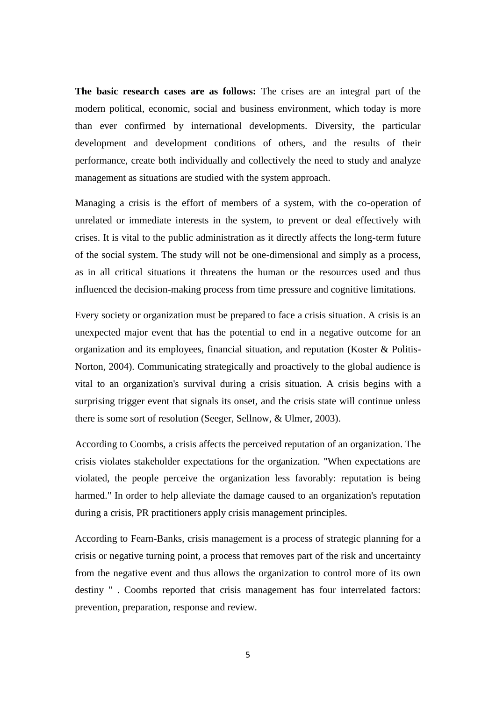**The basic research cases are as follows:** The crises are an integral part of the modern political, economic, social and business environment, which today is more than ever confirmed by international developments. Diversity, the particular development and development conditions of others, and the results of their performance, create both individually and collectively the need to study and analyze management as situations are studied with the system approach.

Managing a crisis is the effort of members of a system, with the co-operation of unrelated or immediate interests in the system, to prevent or deal effectively with crises. It is vital to the public administration as it directly affects the long-term future of the social system. The study will not be one-dimensional and simply as a process, as in all critical situations it threatens the human or the resources used and thus influenced the decision-making process from time pressure and cognitive limitations.

Every society or organization must be prepared to face a crisis situation. A crisis is an unexpected major event that has the potential to end in a negative outcome for an organization and its employees, financial situation, and reputation (Koster & Politis-Norton, 2004). Communicating strategically and proactively to the global audience is vital to an organization's survival during a crisis situation. A crisis begins with a surprising trigger event that signals its onset, and the crisis state will continue unless there is some sort of resolution (Seeger, Sellnow, & Ulmer, 2003).

According to Coombs, a crisis affects the perceived reputation of an organization. The crisis violates stakeholder expectations for the organization. "When expectations are violated, the people perceive the organization less favorably: reputation is being harmed." In order to help alleviate the damage caused to an organization's reputation during a crisis, PR practitioners apply crisis management principles.

According to Fearn-Banks, crisis management is a process of strategic planning for a crisis or negative turning point, a process that removes part of the risk and uncertainty from the negative event and thus allows the organization to control more of its own destiny " . Coombs reported that crisis management has four interrelated factors: prevention, preparation, response and review.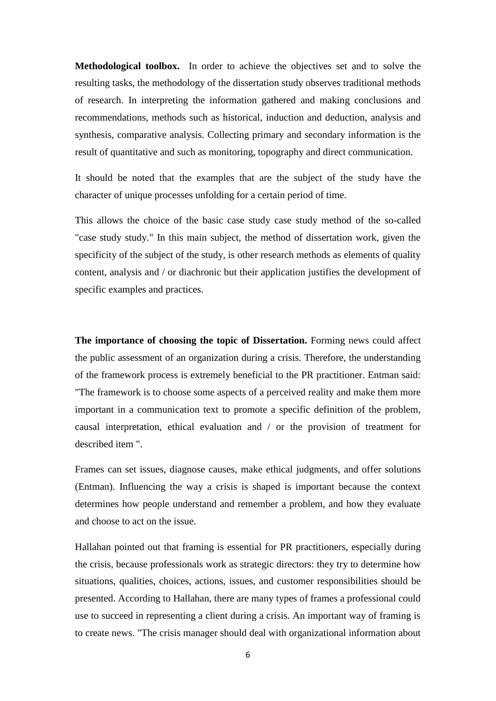**Methodological toolbox.** In order to achieve the objectives set and to solve the resulting tasks, the methodology of the dissertation study observes traditional methods of research. In interpreting the information gathered and making conclusions and recommendations, methods such as historical, induction and deduction, analysis and synthesis, comparative analysis. Collecting primary and secondary information is the result of quantitative and such as monitoring, topography and direct communication.

It should be noted that the examples that are the subject of the study have the character of unique processes unfolding for a certain period of time.

This allows the choice of the basic case study case study method of the so-called "case study study." In this main subject, the method of dissertation work, given the specificity of the subject of the study, is other research methods as elements of quality content, analysis and / or diachronic but their application justifies the development of specific examples and practices.

**The importance of choosing the topic of Dissertation.** Forming news could affect the public assessment of an organization during a crisis. Therefore, the understanding of the framework process is extremely beneficial to the PR practitioner. Entman said: "The framework is to choose some aspects of a perceived reality and make them more important in a communication text to promote a specific definition of the problem, causal interpretation, ethical evaluation and / or the provision of treatment for described item ".

Frames can set issues, diagnose causes, make ethical judgments, and offer solutions (Entman). Influencing the way a crisis is shaped is important because the context determines how people understand and remember a problem, and how they evaluate and choose to act on the issue.

Hallahan pointed out that framing is essential for PR practitioners, especially during the crisis, because professionals work as strategic directors: they try to determine how situations, qualities, choices, actions, issues, and customer responsibilities should be presented. According to Hallahan, there are many types of frames a professional could use to succeed in representing a client during a crisis. An important way of framing is to create news. "The crisis manager should deal with organizational information about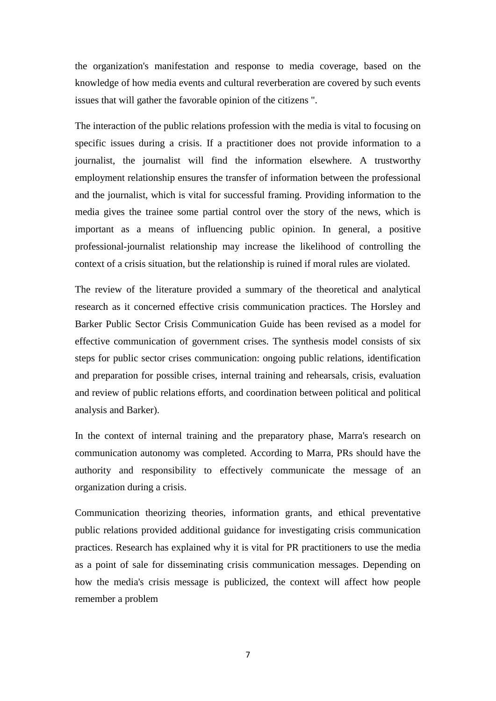the organization's manifestation and response to media coverage, based on the knowledge of how media events and cultural reverberation are covered by such events issues that will gather the favorable opinion of the citizens ".

The interaction of the public relations profession with the media is vital to focusing on specific issues during a crisis. If a practitioner does not provide information to a journalist, the journalist will find the information elsewhere. A trustworthy employment relationship ensures the transfer of information between the professional and the journalist, which is vital for successful framing. Providing information to the media gives the trainee some partial control over the story of the news, which is important as a means of influencing public opinion. In general, a positive professional-journalist relationship may increase the likelihood of controlling the context of a crisis situation, but the relationship is ruined if moral rules are violated.

The review of the literature provided a summary of the theoretical and analytical research as it concerned effective crisis communication practices. The Horsley and Barker Public Sector Crisis Communication Guide has been revised as a model for effective communication of government crises. The synthesis model consists of six steps for public sector crises communication: ongoing public relations, identification and preparation for possible crises, internal training and rehearsals, crisis, evaluation and review of public relations efforts, and coordination between political and political analysis and Barker).

In the context of internal training and the preparatory phase, Marra's research on communication autonomy was completed. According to Marra, PRs should have the authority and responsibility to effectively communicate the message of an organization during a crisis.

Communication theorizing theories, information grants, and ethical preventative public relations provided additional guidance for investigating crisis communication practices. Research has explained why it is vital for PR practitioners to use the media as a point of sale for disseminating crisis communication messages. Depending on how the media's crisis message is publicized, the context will affect how people remember a problem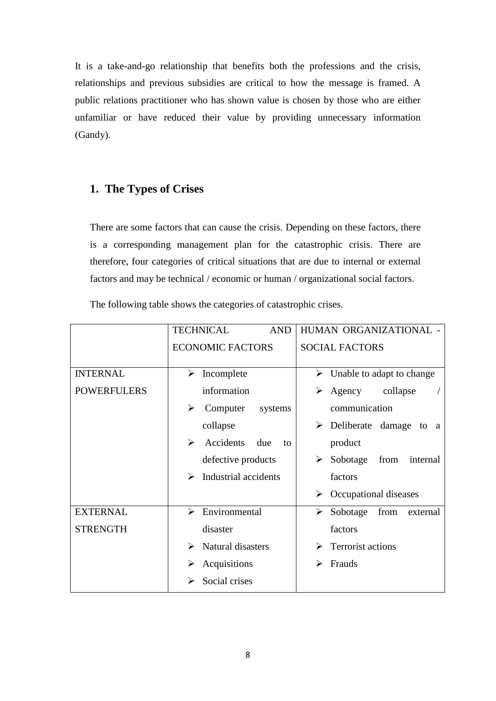It is a take-and-go relationship that benefits both the professions and the crisis, relationships and previous subsidies are critical to how the message is framed. A public relations practitioner who has shown value is chosen by those who are either unfamiliar or have reduced their value by providing unnecessary information (Gandy).

### <span id="page-7-0"></span>**1. The Types of Crises**

There are some factors that can cause the crisis. Depending on these factors, there is a corresponding management plan for the catastrophic crisis. There are therefore, four categories of critical situations that are due to internal or external factors and may be technical / economic or human / organizational social factors.

The following table shows the categories of catastrophic crises.

|                    | <b>TECHNICAL</b><br><b>AND</b> | HUMAN ORGANIZATIONAL -                          |
|--------------------|--------------------------------|-------------------------------------------------|
|                    | <b>ECONOMIC FACTORS</b>        | <b>SOCIAL FACTORS</b>                           |
| <b>INTERNAL</b>    | Incomplete<br>➤                | Unable to adapt to change<br>➤                  |
| <b>POWERFULERS</b> | information                    | collapse<br>Agency<br>➤                         |
|                    | ≻<br>Computer<br>systems       | communication                                   |
|                    | collapse                       | $\triangleright$ Deliberate damage<br>to<br>- a |
|                    | ➤<br>Accidents<br>due<br>to    | product                                         |
|                    | defective products             | ≻<br>Sobotage<br>from<br>internal               |
|                    | Industrial accidents<br>➤      | factors                                         |
|                    |                                | $\blacktriangleright$<br>Occupational diseases  |
| <b>EXTERNAL</b>    | Environmental<br>↘             | from<br>Sobotage<br>➤<br>external               |
| <b>STRENGTH</b>    | disaster                       | factors                                         |
|                    | Natural disasters<br>➤         | Terrorist actions<br>➤                          |
|                    | Acquisitions<br>≻              | Frauds<br>⋗                                     |
|                    | Social crises                  |                                                 |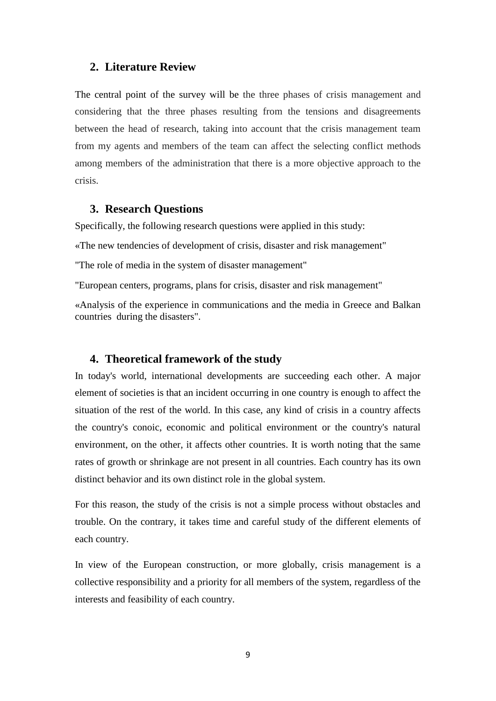### **2. Literature Review**

The central point of the survey will be the three phases of crisis management and considering that the three phases resulting from the tensions and disagreements between the head of research, taking into account that the crisis management team from my agents and members of the team can affect the selecting conflict methods among members of the administration that there is a more objective approach to the crisis.

#### **3. Research Questions**

Specifically, the following research questions were applied in this study:

«The new tendencies of development of crisis, disaster and risk management"

"The role of media in the system of disaster management"

"European centers, programs, plans for crisis, disaster and risk management"

«Analysis of the experience in communications and the media in Greece and Balkan countries during the disasters".

#### **4. Theoretical framework of the study**

In today's world, international developments are succeeding each other. A major element of societies is that an incident occurring in one country is enough to affect the situation of the rest of the world. In this case, any kind of crisis in a country affects the country's conoic, economic and political environment or the country's natural environment, on the other, it affects other countries. It is worth noting that the same rates of growth or shrinkage are not present in all countries. Each country has its own distinct behavior and its own distinct role in the global system.

For this reason, the study of the crisis is not a simple process without obstacles and trouble. On the contrary, it takes time and careful study of the different elements of each country.

In view of the European construction, or more globally, crisis management is a collective responsibility and a priority for all members of the system, regardless of the interests and feasibility of each country.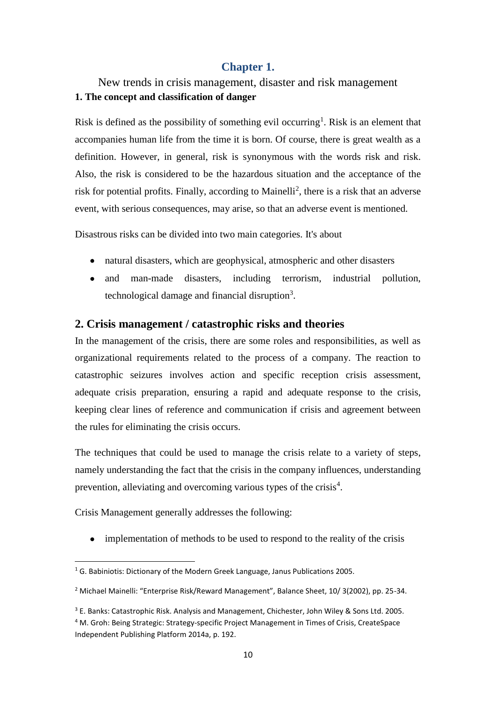### **Chapter 1.**

# New trends in crisis management, disaster and risk management **1. The concept and classification of danger**

Risk is defined as the possibility of something evil occurring<sup>1</sup>. Risk is an element that accompanies human life from the time it is born. Of course, there is great wealth as a definition. However, in general, risk is synonymous with the words risk and risk. Also, the risk is considered to be the hazardous situation and the acceptance of the risk for potential profits. Finally, according to Mainelli<sup>2</sup>, there is a risk that an adverse event, with serious consequences, may arise, so that an adverse event is mentioned.

Disastrous risks can be divided into two main categories. It's about

- natural disasters, which are geophysical, atmospheric and other disasters
- and man-made disasters, including terrorism, industrial pollution, technological damage and financial disruption<sup>3</sup>.

### <span id="page-9-0"></span>**2. Crisis management / catastrophic risks and theories**

In the management of the crisis, there are some roles and responsibilities, as well as organizational requirements related to the process of a company. The reaction to catastrophic seizures involves action and specific reception crisis assessment, adequate crisis preparation, ensuring a rapid and adequate response to the crisis, keeping clear lines of reference and communication if crisis and agreement between the rules for eliminating the crisis occurs.

The techniques that could be used to manage the crisis relate to a variety of steps, namely understanding the fact that the crisis in the company influences, understanding prevention, alleviating and overcoming various types of the crisis<sup>4</sup>.

Crisis Management generally addresses the following:

implementation of methods to be used to respond to the reality of the crisis

**<sup>.</sup>**  $1$  G. Babiniotis: Dictionary of the Modern Greek Language, Janus Publications 2005.

<sup>&</sup>lt;sup>2</sup> Michael Mainelli: "Enterprise Risk/Reward Management", Balance Sheet, 10/ 3(2002), pp. 25-34.

<sup>&</sup>lt;sup>3</sup> E. Banks: Catastrophic Risk. Analysis and Management, Chichester, John Wiley & Sons Ltd. 2005.

<sup>4</sup> M. Groh: Being Strategic: Strategy-specific Project Management in Times of Crisis, CreateSpace Independent Publishing Platform 2014a, p. 192.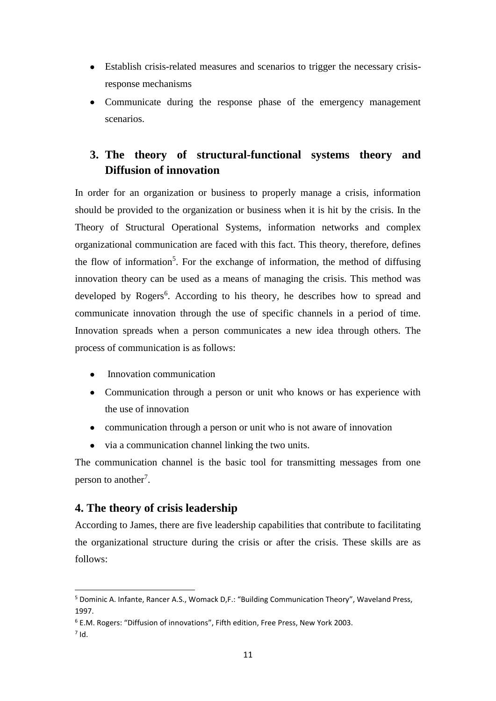- Establish crisis-related measures and scenarios to trigger the necessary crisisresponse mechanisms
- Communicate during the response phase of the emergency management scenarios.

# <span id="page-10-0"></span>**3. The theory of structural-functional systems theory and Diffusion of innovation**

In order for an organization or business to properly manage a crisis, information should be provided to the organization or business when it is hit by the crisis. In the Theory of Structural Operational Systems, information networks and complex organizational communication are faced with this fact. This theory, therefore, defines the flow of information<sup>5</sup>. For the exchange of information, the method of diffusing innovation theory can be used as a means of managing the crisis. This method was developed by Rogers<sup>6</sup>. According to his theory, he describes how to spread and communicate innovation through the use of specific channels in a period of time. Innovation spreads when a person communicates a new idea through others. The process of communication is as follows:

- Innovation communication
- Communication through a person or unit who knows or has experience with the use of innovation
- communication through a person or unit who is not aware of innovation
- via a communication channel linking the two units.

The communication channel is the basic tool for transmitting messages from one person to another<sup>7</sup>.

### <span id="page-10-1"></span>**4. The theory of crisis leadership**

According to James, there are five leadership capabilities that contribute to facilitating the organizational structure during the crisis or after the crisis. These skills are as follows:

**.** 

<sup>5</sup> Dominic A. Infante, Rancer A.S., Womack D,F.: "Building Communication Theory", Waveland Press, 1997.

<sup>6</sup> E.M. Rogers: "Diffusion of innovations", Fifth edition, Free Press, New York 2003.

 $<sup>7</sup>$  Id.</sup>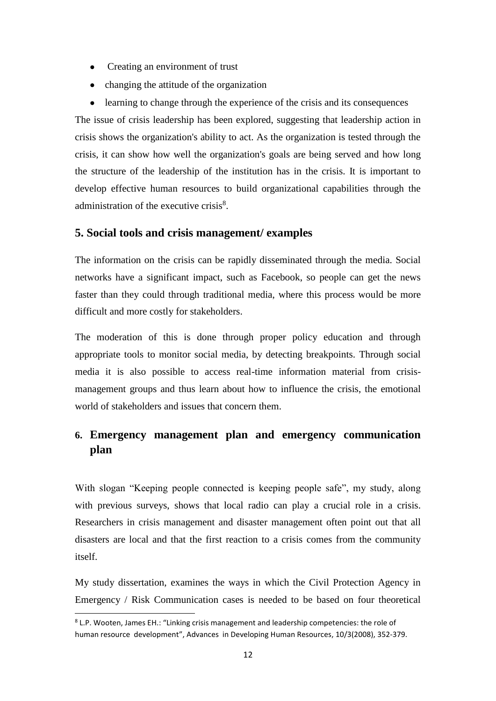- Creating an environment of trust
- changing the attitude of the organization

• learning to change through the experience of the crisis and its consequences The issue of crisis leadership has been explored, suggesting that leadership action in crisis shows the organization's ability to act. As the organization is tested through the crisis, it can show how well the organization's goals are being served and how long the structure of the leadership of the institution has in the crisis. It is important to develop effective human resources to build organizational capabilities through the administration of the executive crisis<sup>8</sup>.

### **5. Social tools and crisis management/ examples**

The information on the crisis can be rapidly disseminated through the media. Social networks have a significant impact, such as Facebook, so people can get the news faster than they could through traditional media, where this process would be more difficult and more costly for stakeholders.

The moderation of this is done through proper policy education and through appropriate tools to monitor social media, by detecting breakpoints. Through social media it is also possible to access real-time information material from crisismanagement groups and thus learn about how to influence the crisis, the emotional world of stakeholders and issues that concern them.

# <span id="page-11-0"></span>**6. Emergency management plan and emergency communication plan**

With slogan "Keeping people connected is keeping people safe", my study, along with previous surveys, shows that local radio can play a crucial role in a crisis. Researchers in crisis management and disaster management often point out that all disasters are local and that the first reaction to a crisis comes from the community itself.

My study dissertation, examines the ways in which the Civil Protection Agency in Emergency / Risk Communication cases is needed to be based on four theoretical

**.** 

<sup>&</sup>lt;sup>8</sup> L.P. Wooten, James EH.: "Linking crisis management and leadership competencies: the role of human resource development", Advances in Developing Human Resources, 10/3(2008), 352-379.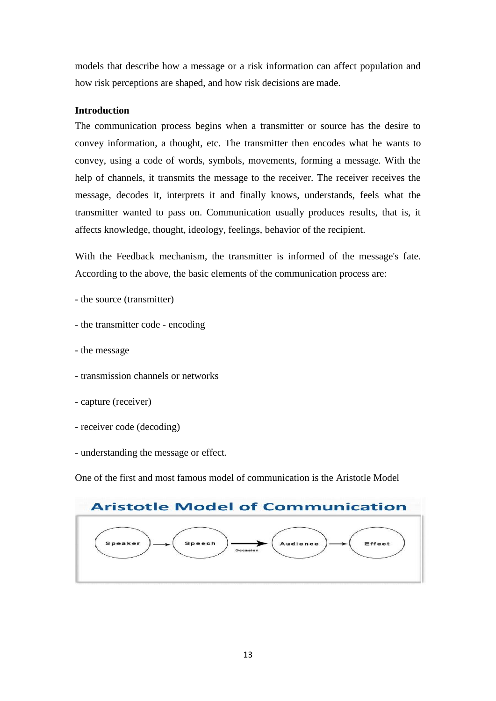models that describe how a message or a risk information can affect population and how risk perceptions are shaped, and how risk decisions are made.

#### **Introduction**

The communication process begins when a transmitter or source has the desire to convey information, a thought, etc. The transmitter then encodes what he wants to convey, using a code of words, symbols, movements, forming a message. With the help of channels, it transmits the message to the receiver. The receiver receives the message, decodes it, interprets it and finally knows, understands, feels what the transmitter wanted to pass on. Communication usually produces results, that is, it affects knowledge, thought, ideology, feelings, behavior of the recipient.

With the Feedback mechanism, the transmitter is informed of the message's fate. According to the above, the basic elements of the communication process are:

- the source (transmitter)
- the transmitter code encoding
- the message
- transmission channels or networks
- capture (receiver)
- receiver code (decoding)
- understanding the message or effect.

One of the first and most famous model of communication is the Aristotle Model

|               | <b>Aristotle Model of Communication</b> |
|---------------|-----------------------------------------|
| <b>Speech</b> | Audience                                |
| Speaker       | Effect                                  |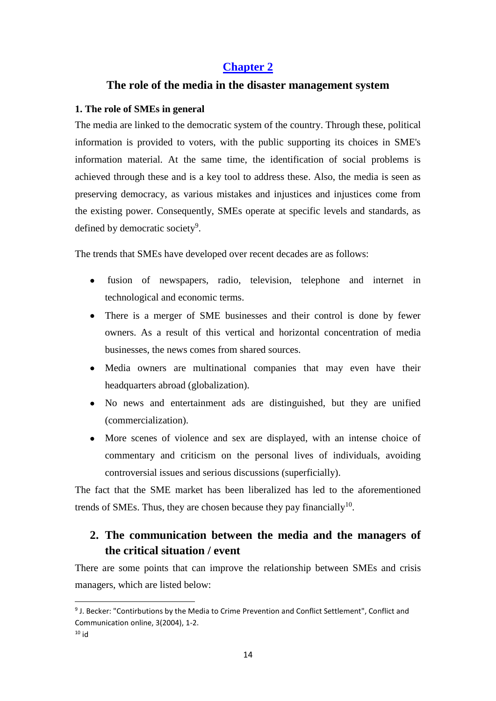### **Chapter 2**

### <span id="page-13-0"></span>**The role of the media in the disaster management system**

### **1. The role of SMEs in general**

The media are linked to the democratic system of the country. Through these, political information is provided to voters, with the public supporting its choices in SME's information material. At the same time, the identification of social problems is achieved through these and is a key tool to address these. Also, the media is seen as preserving democracy, as various mistakes and injustices and injustices come from the existing power. Consequently, SMEs operate at specific levels and standards, as defined by democratic society<sup>9</sup>.

The trends that SMEs have developed over recent decades are as follows:

- fusion of newspapers, radio, television, telephone and internet in technological and economic terms.
- There is a merger of SME businesses and their control is done by fewer owners. As a result of this vertical and horizontal concentration of media businesses, the news comes from shared sources.
- Media owners are multinational companies that may even have their headquarters abroad (globalization).
- No news and entertainment ads are distinguished, but they are unified (commercialization).
- More scenes of violence and sex are displayed, with an intense choice of commentary and criticism on the personal lives of individuals, avoiding controversial issues and serious discussions (superficially).

The fact that the SME market has been liberalized has led to the aforementioned trends of SMEs. Thus, they are chosen because they pay financially<sup>10</sup>.

# <span id="page-13-1"></span>**2. The communication between the media and the managers of the critical situation / event**

There are some points that can improve the relationship between SMEs and crisis managers, which are listed below:

1

<sup>&</sup>lt;sup>9</sup> J. Becker: "Contirbutions by the Media to Crime Prevention and Conflict Settlement", Conflict and Communication online, 3(2004), 1-2.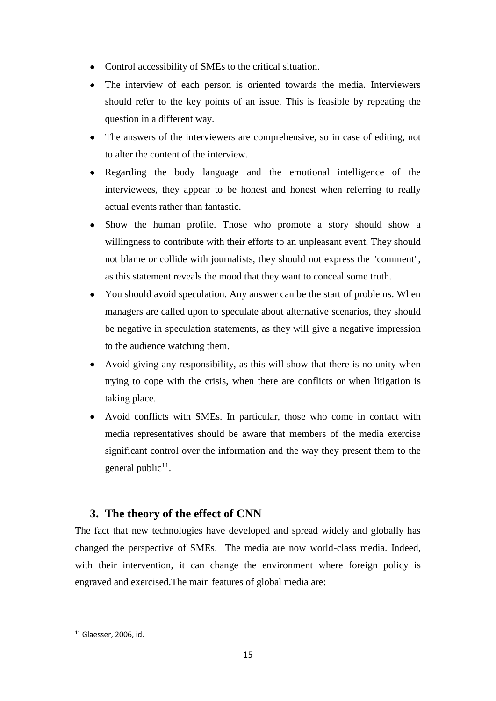- Control accessibility of SMEs to the critical situation.
- The interview of each person is oriented towards the media. Interviewers should refer to the key points of an issue. This is feasible by repeating the question in a different way.
- The answers of the interviewers are comprehensive, so in case of editing, not to alter the content of the interview.
- Regarding the body language and the emotional intelligence of the interviewees, they appear to be honest and honest when referring to really actual events rather than fantastic.
- Show the human profile. Those who promote a story should show a willingness to contribute with their efforts to an unpleasant event. They should not blame or collide with journalists, they should not express the "comment", as this statement reveals the mood that they want to conceal some truth.
- You should avoid speculation. Any answer can be the start of problems. When managers are called upon to speculate about alternative scenarios, they should be negative in speculation statements, as they will give a negative impression to the audience watching them.
- Avoid giving any responsibility, as this will show that there is no unity when trying to cope with the crisis, when there are conflicts or when litigation is taking place.
- Avoid conflicts with SMEs. In particular, those who come in contact with media representatives should be aware that members of the media exercise significant control over the information and the way they present them to the general public<sup>11</sup>.

## <span id="page-14-0"></span>**3. The theory of the effect of CNN**

The fact that new technologies have developed and spread widely and globally has changed the perspective of SMEs. The media are now world-class media. Indeed, with their intervention, it can change the environment where foreign policy is engraved and exercised.The main features of global media are:

1

<sup>11</sup> Glaesser, 2006, id.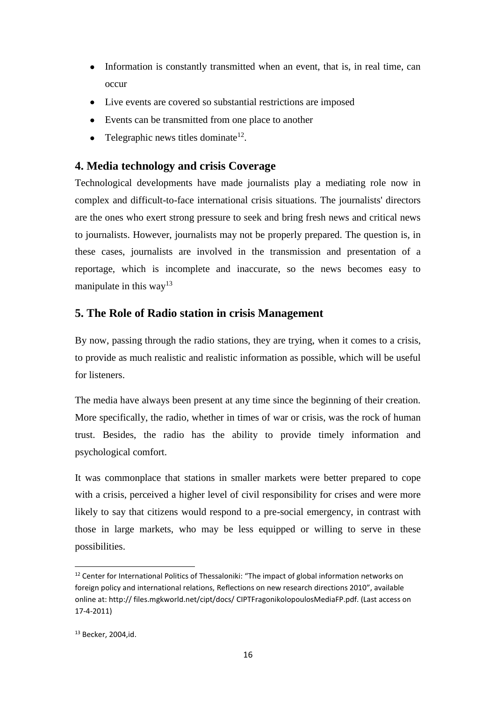- Information is constantly transmitted when an event, that is, in real time, can occur
- Live events are covered so substantial restrictions are imposed
- Events can be transmitted from one place to another
- Telegraphic news titles dominate<sup>12</sup>.

### <span id="page-15-0"></span>**4. Media technology and crisis Coverage**

Technological developments have made journalists play a mediating role now in complex and difficult-to-face international crisis situations. The journalists' directors are the ones who exert strong pressure to seek and bring fresh news and critical news to journalists. However, journalists may not be properly prepared. The question is, in these cases, journalists are involved in the transmission and presentation of a reportage, which is incomplete and inaccurate, so the news becomes easy to manipulate in this way<sup>13</sup>

### **5. The Role of Radio station in crisis Management**

By now, passing through the radio stations, they are trying, when it comes to a crisis, to provide as much realistic and realistic information as possible, which will be useful for listeners.

The media have always been present at any time since the beginning of their creation. More specifically, the radio, whether in times of war or crisis, was the rock of human trust. Besides, the radio has the ability to provide timely information and psychological comfort.

It was commonplace that stations in smaller markets were better prepared to cope with a crisis, perceived a higher level of civil responsibility for crises and were more likely to say that citizens would respond to a pre-social emergency, in contrast with those in large markets, who may be less equipped or willing to serve in these possibilities.

**.** 

<sup>&</sup>lt;sup>12</sup> Center for International Politics of Thessaloniki: "The impact of global information networks on foreign policy and international relations, Reflections on new research directions 2010", available online at: http:// files.mgkworld.net/cipt/docs/ CIPTFragonikolopoulosMediaFP.pdf. (Last access on 17-4-2011)

<sup>13</sup> Becker, 2004,id.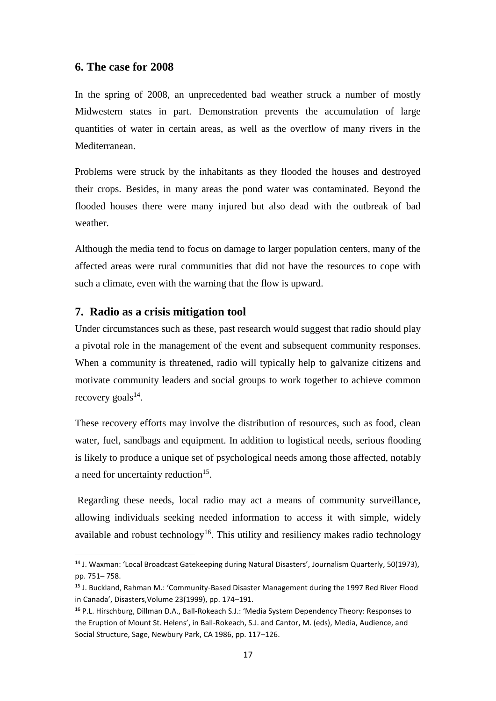### **6. The case for 2008**

In the spring of 2008, an unprecedented bad weather struck a number of mostly Midwestern states in part. Demonstration prevents the accumulation of large quantities of water in certain areas, as well as the overflow of many rivers in the Mediterranean.

Problems were struck by the inhabitants as they flooded the houses and destroyed their crops. Besides, in many areas the pond water was contaminated. Beyond the flooded houses there were many injured but also dead with the outbreak of bad weather.

Although the media tend to focus on damage to larger population centers, many of the affected areas were rural communities that did not have the resources to cope with such a climate, even with the warning that the flow is upward.

#### <span id="page-16-0"></span>**7. Radio as a crisis mitigation tool**

 $\overline{a}$ 

Under circumstances such as these, past research would suggest that radio should play a pivotal role in the management of the event and subsequent community responses. When a community is threatened, radio will typically help to galvanize citizens and motivate community leaders and social groups to work together to achieve common recovery goals $^{14}$ .

These recovery efforts may involve the distribution of resources, such as food, clean water, fuel, sandbags and equipment. In addition to logistical needs, serious flooding is likely to produce a unique set of psychological needs among those affected, notably a need for uncertainty reduction<sup>15</sup>.

Regarding these needs, local radio may act a means of community surveillance, allowing individuals seeking needed information to access it with simple, widely available and robust technology<sup>16</sup>. This utility and resiliency makes radio technology

<sup>14</sup> J. Waxman: 'Local Broadcast Gatekeeping during Natural Disasters', Journalism Quarterly, 50(1973), pp. 751– 758.

<sup>&</sup>lt;sup>15</sup> J. Buckland, Rahman M.: 'Community-Based Disaster Management during the 1997 Red River Flood in Canada', Disasters,Volume 23(1999), pp. 174–191.

<sup>&</sup>lt;sup>16</sup> P.L. Hirschburg, Dillman D.A., Ball-Rokeach S.J.: 'Media System Dependency Theory: Responses to the Eruption of Mount St. Helens', in Ball-Rokeach, S.J. and Cantor, M. (eds), Media, Audience, and Social Structure, Sage, Newbury Park, CA 1986, pp. 117–126.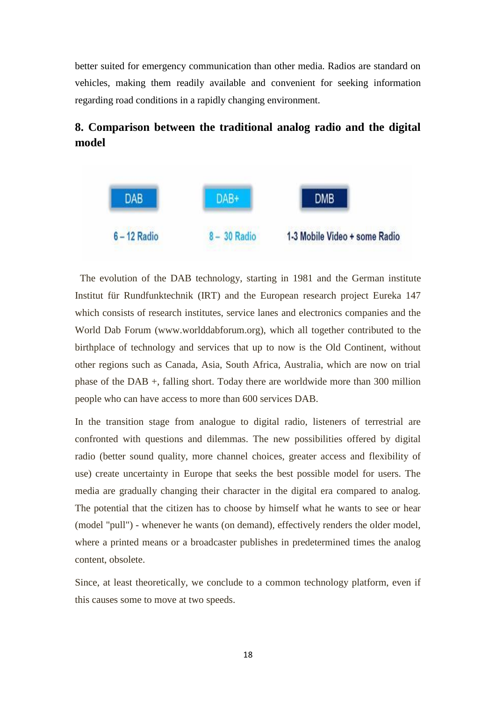better suited for emergency communication than other media. Radios are standard on vehicles, making them readily available and convenient for seeking information regarding road conditions in a rapidly changing environment.

# **8. Comparison between the traditional analog radio and the digital model**



 The evolution of the DAB technology, starting in 1981 and the German institute Institut für Rundfunktechnik (IRT) and the European research project Eureka 147 which consists of research institutes, service lanes and electronics companies and the World Dab Forum (www.worlddabforum.org), which all together contributed to the birthplace of technology and services that up to now is the Old Continent, without other regions such as Canada, Asia, South Africa, Australia, which are now on trial phase of the DAB +, falling short. Today there are worldwide more than 300 million people who can have access to more than 600 services DAB.

In the transition stage from analogue to digital radio, listeners of terrestrial are confronted with questions and dilemmas. The new possibilities offered by digital radio (better sound quality, more channel choices, greater access and flexibility of use) create uncertainty in Europe that seeks the best possible model for users. The media are gradually changing their character in the digital era compared to analog. The potential that the citizen has to choose by himself what he wants to see or hear (model "pull") - whenever he wants (on demand), effectively renders the older model, where a printed means or a broadcaster publishes in predetermined times the analog content, obsolete.

Since, at least theoretically, we conclude to a common technology platform, even if this causes some to move at two speeds.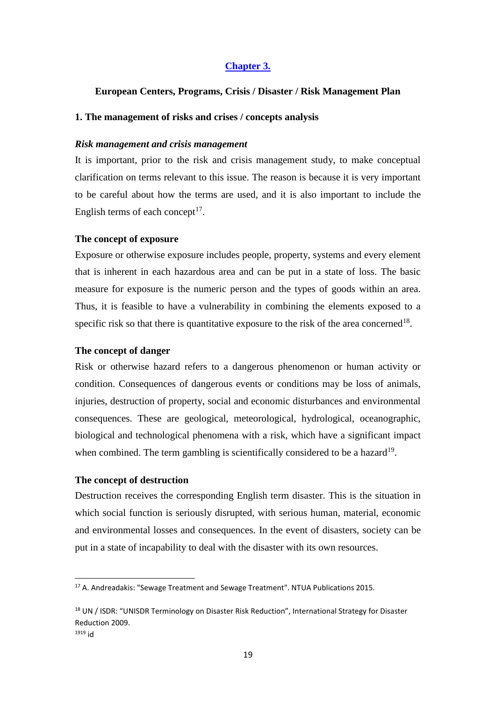#### <span id="page-18-0"></span>**Chapter 3.**

#### **European Centers, Programs, Crisis / Disaster / Risk Management Plan**

#### **1. The management of risks and crises / concepts analysis**

#### *Risk management and crisis management*

It is important, prior to the risk and crisis management study, to make conceptual clarification on terms relevant to this issue. The reason is because it is very important to be careful about how the terms are used, and it is also important to include the English terms of each concept $17$ .

#### **The concept of exposure**

Exposure or otherwise exposure includes people, property, systems and every element that is inherent in each hazardous area and can be put in a state of loss. The basic measure for exposure is the numeric person and the types of goods within an area. Thus, it is feasible to have a vulnerability in combining the elements exposed to a specific risk so that there is quantitative exposure to the risk of the area concerned<sup>18</sup>.

#### **The concept of danger**

Risk or otherwise hazard refers to a dangerous phenomenon or human activity or condition. Consequences of dangerous events or conditions may be loss of animals, injuries, destruction of property, social and economic disturbances and environmental consequences. These are geological, meteorological, hydrological, oceanographic, biological and technological phenomena with a risk, which have a significant impact when combined. The term gambling is scientifically considered to be a hazard<sup>19</sup>.

#### **The concept of destruction**

 $\overline{a}$ 

Destruction receives the corresponding English term disaster. This is the situation in which social function is seriously disrupted, with serious human, material, economic and environmental losses and consequences. In the event of disasters, society can be put in a state of incapability to deal with the disaster with its own resources.

<sup>17</sup> A. Andreadakis: "Sewage Treatment and Sewage Treatment". NTUA Publications 2015.

<sup>&</sup>lt;sup>18</sup> UN / ISDR: "UNISDR Terminology on Disaster Risk Reduction", International Strategy for Disaster Reduction 2009. <sup>1919</sup> id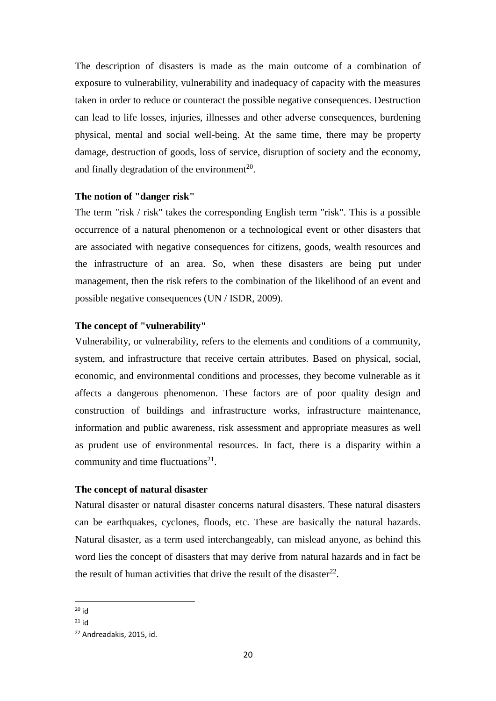The description of disasters is made as the main outcome of a combination of exposure to vulnerability, vulnerability and inadequacy of capacity with the measures taken in order to reduce or counteract the possible negative consequences. Destruction can lead to life losses, injuries, illnesses and other adverse consequences, burdening physical, mental and social well-being. At the same time, there may be property damage, destruction of goods, loss of service, disruption of society and the economy, and finally degradation of the environment<sup>20</sup>.

#### **The notion of "danger risk"**

The term "risk / risk" takes the corresponding English term "risk". This is a possible occurrence of a natural phenomenon or a technological event or other disasters that are associated with negative consequences for citizens, goods, wealth resources and the infrastructure of an area. So, when these disasters are being put under management, then the risk refers to the combination of the likelihood of an event and possible negative consequences (UN / ISDR, 2009).

#### **The concept of "vulnerability"**

Vulnerability, or vulnerability, refers to the elements and conditions of a community, system, and infrastructure that receive certain attributes. Based on physical, social, economic, and environmental conditions and processes, they become vulnerable as it affects a dangerous phenomenon. These factors are of poor quality design and construction of buildings and infrastructure works, infrastructure maintenance, information and public awareness, risk assessment and appropriate measures as well as prudent use of environmental resources. In fact, there is a disparity within a community and time fluctuations $21$ .

#### **The concept of natural disaster**

Natural disaster or natural disaster concerns natural disasters. These natural disasters can be earthquakes, cyclones, floods, etc. These are basically the natural hazards. Natural disaster, as a term used interchangeably, can mislead anyone, as behind this word lies the concept of disasters that may derive from natural hazards and in fact be the result of human activities that drive the result of the disaster<sup>22</sup>.

<sup>1</sup> <sup>20</sup> id

<sup>21</sup> id

<sup>22</sup> Andreadakis, 2015, id.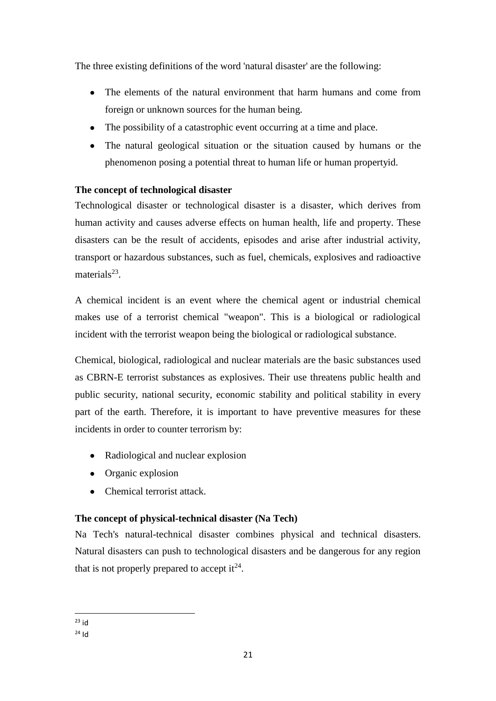The three existing definitions of the word 'natural disaster' are the following:

- The elements of the natural environment that harm humans and come from foreign or unknown sources for the human being.
- The possibility of a catastrophic event occurring at a time and place.
- The natural geological situation or the situation caused by humans or the phenomenon posing a potential threat to human life or human propertyid.

### **The concept of technological disaster**

Technological disaster or technological disaster is a disaster, which derives from human activity and causes adverse effects on human health, life and property. These disasters can be the result of accidents, episodes and arise after industrial activity, transport or hazardous substances, such as fuel, chemicals, explosives and radioactive materials $23$ .

A chemical incident is an event where the chemical agent or industrial chemical makes use of a terrorist chemical "weapon". This is a biological or radiological incident with the terrorist weapon being the biological or radiological substance.

Chemical, biological, radiological and nuclear materials are the basic substances used as CBRN-E terrorist substances as explosives. Their use threatens public health and public security, national security, economic stability and political stability in every part of the earth. Therefore, it is important to have preventive measures for these incidents in order to counter terrorism by:

- Radiological and nuclear explosion
- Organic explosion
- Chemical terrorist attack.

### **The concept of physical-technical disaster (Na Tech)**

Na Tech's natural-technical disaster combines physical and technical disasters. Natural disasters can push to technological disasters and be dangerous for any region that is not properly prepared to accept it  $2^4$ .

**.** <sup>23</sup> id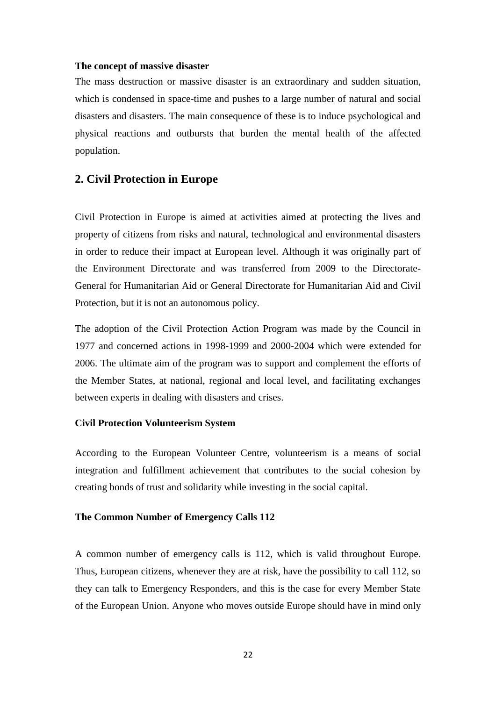#### **The concept of massive disaster**

The mass destruction or massive disaster is an extraordinary and sudden situation, which is condensed in space-time and pushes to a large number of natural and social disasters and disasters. The main consequence of these is to induce psychological and physical reactions and outbursts that burden the mental health of the affected population.

### <span id="page-21-0"></span>**2. Civil Protection in Europe**

Civil Protection in Europe is aimed at activities aimed at protecting the lives and property of citizens from risks and natural, technological and environmental disasters in order to reduce their impact at European level. Although it was originally part of the Environment Directorate and was transferred from 2009 to the Directorate-General for Humanitarian Aid or General Directorate for Humanitarian Aid and Civil Protection, but it is not an autonomous policy.

The adoption of the Civil Protection Action Program was made by the Council in 1977 and concerned actions in 1998-1999 and 2000-2004 which were extended for 2006. The ultimate aim of the program was to support and complement the efforts of the Member States, at national, regional and local level, and facilitating exchanges between experts in dealing with disasters and crises.

#### **Civil Protection Volunteerism System**

According to the European Volunteer Centre, volunteerism is a means of social integration and fulfillment achievement that contributes to the social cohesion by creating bonds of trust and solidarity while investing in the social capital.

#### **The Common Number of Emergency Calls 112**

A common number of emergency calls is 112, which is valid throughout Europe. Thus, European citizens, whenever they are at risk, have the possibility to call 112, so they can talk to Emergency Responders, and this is the case for every Member State of the European Union. Anyone who moves outside Europe should have in mind only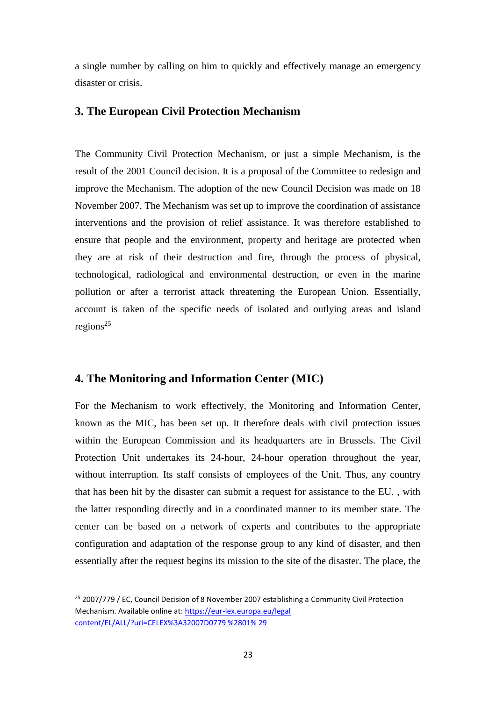a single number by calling on him to quickly and effectively manage an emergency disaster or crisis.

#### <span id="page-22-0"></span>**3. The European Civil Protection Mechanism**

The Community Civil Protection Mechanism, or just a simple Mechanism, is the result of the 2001 Council decision. It is a proposal of the Committee to redesign and improve the Mechanism. The adoption of the new Council Decision was made on 18 November 2007. The Mechanism was set up to improve the coordination of assistance interventions and the provision of relief assistance. It was therefore established to ensure that people and the environment, property and heritage are protected when they are at risk of their destruction and fire, through the process of physical, technological, radiological and environmental destruction, or even in the marine pollution or after a terrorist attack threatening the European Union. Essentially, account is taken of the specific needs of isolated and outlying areas and island regions<sup>25</sup>

### **4. The Monitoring and Information Center (MIC)**

**.** 

For the Mechanism to work effectively, the Monitoring and Information Center, known as the MIC, has been set up. It therefore deals with civil protection issues within the European Commission and its headquarters are in Brussels. The Civil Protection Unit undertakes its 24-hour, 24-hour operation throughout the year, without interruption. Its staff consists of employees of the Unit. Thus, any country that has been hit by the disaster can submit a request for assistance to the EU. , with the latter responding directly and in a coordinated manner to its member state. The center can be based on a network of experts and contributes to the appropriate configuration and adaptation of the response group to any kind of disaster, and then essentially after the request begins its mission to the site of the disaster. The place, the

<sup>&</sup>lt;sup>25</sup> 2007/779 / EC, Council Decision of 8 November 2007 establishing a Community Civil Protection Mechanism. Available online at: [https://eur-lex.europa.eu/legal](https://eur-lex.eurοpa.eu/legal%20cοntent/EL/ALL/?uri=CELEX%3A32007D0779%20%2801%25%2029)  [content/EL/ALL/?uri=CELEX%3A32007D0779 %2801% 29](https://eur-lex.eurοpa.eu/legal%20cοntent/EL/ALL/?uri=CELEX%3A32007D0779%20%2801%25%2029)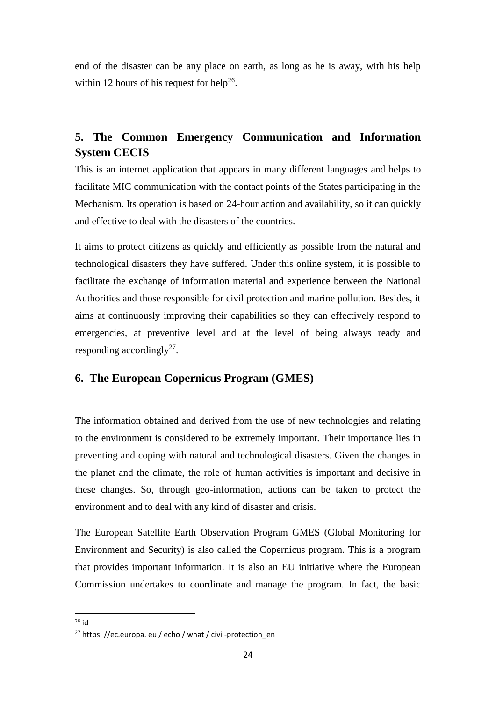end of the disaster can be any place on earth, as long as he is away, with his help within 12 hours of his request for help<sup>26</sup>.

# <span id="page-23-0"></span>**5. The Common Emergency Communication and Information System CECIS**

This is an internet application that appears in many different languages and helps to facilitate MIC communication with the contact points of the States participating in the Mechanism. Its operation is based on 24-hour action and availability, so it can quickly and effective to deal with the disasters of the countries.

It aims to protect citizens as quickly and efficiently as possible from the natural and technological disasters they have suffered. Under this online system, it is possible to facilitate the exchange of information material and experience between the National Authorities and those responsible for civil protection and marine pollution. Besides, it aims at continuously improving their capabilities so they can effectively respond to emergencies, at preventive level and at the level of being always ready and responding accordingly<sup>27</sup>.

### <span id="page-23-1"></span>**6. The European Copernicus Program (GMES)**

The information obtained and derived from the use of new technologies and relating to the environment is considered to be extremely important. Their importance lies in preventing and coping with natural and technological disasters. Given the changes in the planet and the climate, the role of human activities is important and decisive in these changes. So, through geo-information, actions can be taken to protect the environment and to deal with any kind of disaster and crisis.

The European Satellite Earth Observation Program GMES (Global Monitoring for Environment and Security) is also called the Copernicus program. This is a program that provides important information. It is also an EU initiative where the European Commission undertakes to coordinate and manage the program. In fact, the basic

**<sup>.</sup>** <sup>26</sup> id

<sup>&</sup>lt;sup>27</sup> https: //ec.europa. eu / echo / what / civil-protection en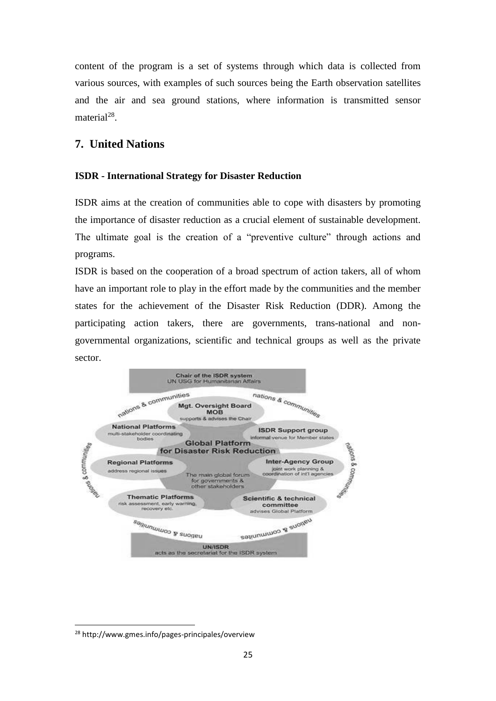content of the program is a set of systems through which data is collected from various sources, with examples of such sources being the Earth observation satellites and the air and sea ground stations, where information is transmitted sensor material<sup>28</sup>.

## **7. United Nations**

### **ISDR - International Strategy for Disaster Reduction**

ISDR aims at the creation of communities able to cope with disasters by promoting the importance of disaster reduction as a crucial element of sustainable development. The ultimate goal is the creation of a "preventive culture" through actions and programs.

ISDR is based on the cooperation of a broad spectrum of action takers, all of whom have an important role to play in the effort made by the communities and the member states for the achievement of the Disaster Risk Reduction (DDR). Among the participating action takers, there are governments, trans-national and nongovernmental organizations, scientific and technical groups as well as the private sector.



1

<sup>28</sup> http://www.gmes.info/pages-principales/overview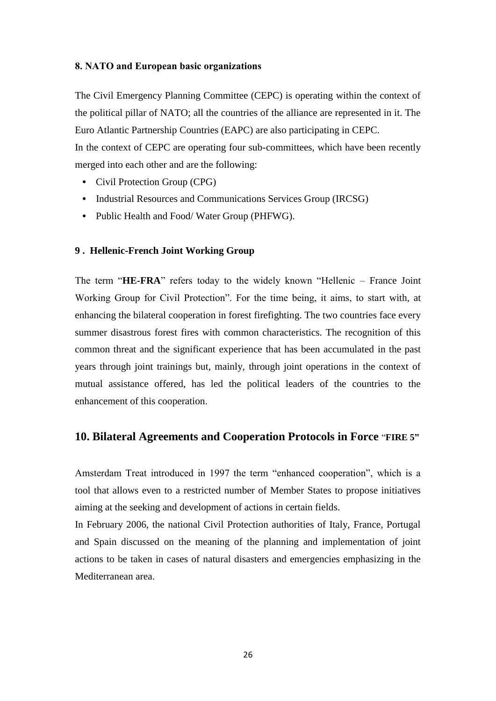#### **8. ΝΑΤO and European basic organizations**

The Civil Emergency Planning Committee (CEPC) is operating within the context of the political pillar of NATO; all the countries of the alliance are represented in it. The Euro Atlantic Partnership Countries (EAPC) are also participating in CEPC. In the context of CEPC are operating four sub-committees, which have been recently merged into each other and are the following:

- Civil Protection Group (CPG)
- Industrial Resources and Communications Services Group (IRCSG)
- Public Health and Food/ Water Group (PHFWG).

#### **9 . Hellenic-French Joint Working Group**

The term "**HE-FRA**" refers today to the widely known "Hellenic – France Joint Working Group for Civil Protection". For the time being, it aims, to start with, at enhancing the bilateral cooperation in forest firefighting. The two countries face every summer disastrous forest fires with common characteristics. The recognition of this common threat and the significant experience that has been accumulated in the past years through joint trainings but, mainly, through joint operations in the context of mutual assistance offered, has led the political leaders of the countries to the enhancement of this cooperation.

#### **10. Bilateral Agreements and Cooperation Protocols in Force** "**FIRE 5"**

Amsterdam Treat introduced in 1997 the term "enhanced cooperation", which is a tool that allows even to a restricted number of Member States to propose initiatives aiming at the seeking and development of actions in certain fields.

In February 2006, the national Civil Protection authorities of Italy, France, Portugal and Spain discussed on the meaning of the planning and implementation of joint actions to be taken in cases of natural disasters and emergencies emphasizing in the Mediterranean area.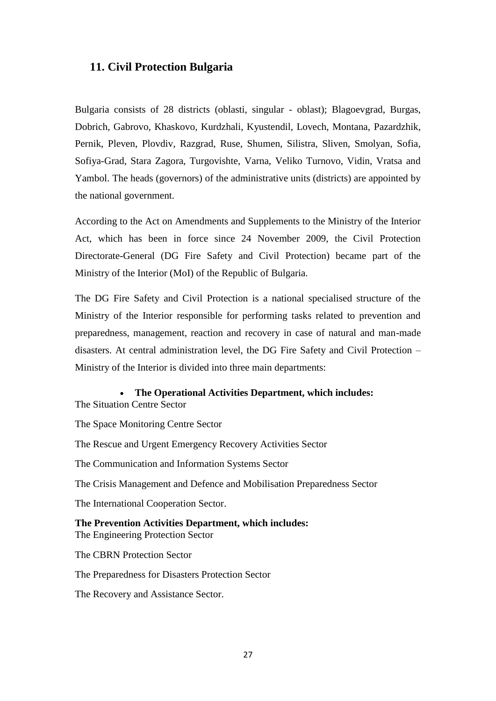### <span id="page-26-0"></span>**11. Civil Protection Bulgaria**

Bulgaria consists of 28 districts (oblasti, singular - oblast); Blagoevgrad, Burgas, Dobrich, Gabrovo, Khaskovo, Kurdzhali, Kyustendil, Lovech, Montana, Pazardzhik, Pernik, Pleven, Plovdiv, Razgrad, Ruse, Shumen, Silistra, Sliven, Smolyan, Sofia, Sofiya-Grad, Stara Zagora, Turgovishte, Varna, Veliko Turnovo, Vidin, Vratsa and Yambol. The heads (governors) of the administrative units (districts) are appointed by the national government.

According to the Act on Amendments and Supplements to the Ministry of the Interior Act, which has been in force since 24 November 2009, the Civil Protection Directorate-General (DG Fire Safety and Civil Protection) became part of the Ministry of the Interior (MoI) of the Republic of Bulgaria.

The DG Fire Safety and Civil Protection is a national specialised structure of the Ministry of the Interior responsible for performing tasks related to prevention and preparedness, management, reaction and recovery in case of natural and man-made disasters. At central administration level, the DG Fire Safety and Civil Protection – Ministry of the Interior is divided into three main departments:

# • **The Operational Activities Department, which includes:**

The Situation Centre Sector

The Space Monitoring Centre Sector

The Rescue and Urgent Emergency Recovery Activities Sector

The Communication and Information Systems Sector

The Crisis Management and Defence and Mobilisation Preparedness Sector

The International Cooperation Sector.

**The Prevention Activities Department, which includes:** The Engineering Protection Sector

The CBRN Protection Sector

The Preparedness for Disasters Protection Sector

The Recovery and Assistance Sector.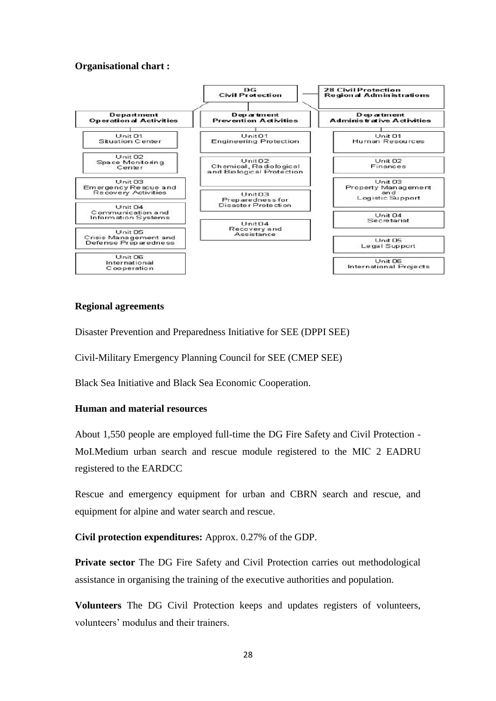#### **Organisational chart :**



#### **Regional agreements**

Disaster Prevention and Preparedness Initiative for SEE (DPPI SEE)

Civil-Military Emergency Planning Council for SEE (CMEP SEE)

Black Sea Initiative and Black Sea Economic Cooperation.

#### **Human and material resources**

About 1,550 people are employed full-time the DG Fire Safety and Civil Protection - MoI.Medium urban search and rescue module registered to the МІС 2 EADRU registered to the EARDCC

Rescue and emergency equipment for urban and CBRN search and rescue, and equipment for alpine and water search and rescue.

**Civil protection expenditures:** Approx. 0.27% of the GDP.

**Private sector** The DG Fire Safety and Civil Protection carries out methodological assistance in organising the training of the executive authorities and population.

**Volunteers** The DG Civil Protection keeps and updates registers of volunteers, volunteers' modulus and their trainers.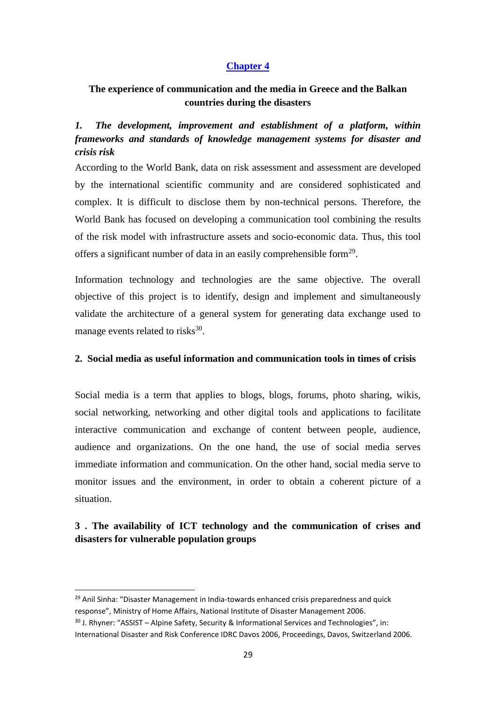### **Chapter 4**

### **The experience of communication and the media in Greece and the Balkan countries during the disasters**

### <span id="page-28-0"></span>*1. The development, improvement and establishment of a platform, within frameworks and standards of knowledge management systems for disaster and crisis risk*

According to the World Bank, data on risk assessment and assessment are developed by the international scientific community and are considered sophisticated and complex. It is difficult to disclose them by non-technical persons. Therefore, the World Bank has focused on developing a communication tool combining the results of the risk model with infrastructure assets and socio-economic data. Thus, this tool offers a significant number of data in an easily comprehensible form<sup>29</sup>.

Information technology and technologies are the same objective. The overall objective of this project is to identify, design and implement and simultaneously validate the architecture of a general system for generating data exchange used to manage events related to risks $^{30}$ .

#### <span id="page-28-1"></span>**2. Social media as useful information and communication tools in times of crisis**

Social media is a term that applies to blogs, blogs, forums, photo sharing, wikis, social networking, networking and other digital tools and applications to facilitate interactive communication and exchange of content between people, audience, audience and organizations. On the one hand, the use of social media serves immediate information and communication. On the other hand, social media serve to monitor issues and the environment, in order to obtain a coherent picture of a situation.

### <span id="page-28-2"></span>**3 . The availability of ICT technology and the communication of crises and disasters for vulnerable population groups**

**.** 

<sup>&</sup>lt;sup>29</sup> Anil Sinha: "Disaster Management in India-towards enhanced crisis preparedness and quick response", Ministry of Home Affairs, National Institute of Disaster Management 2006. <sup>30</sup> J. Rhyner: "ASSIST – Alpine Safety, Security & Informational Services and Technologies", in:

International Disaster and Risk Conference IDRC Davos 2006, Proceedings, Davos, Switzerland 2006.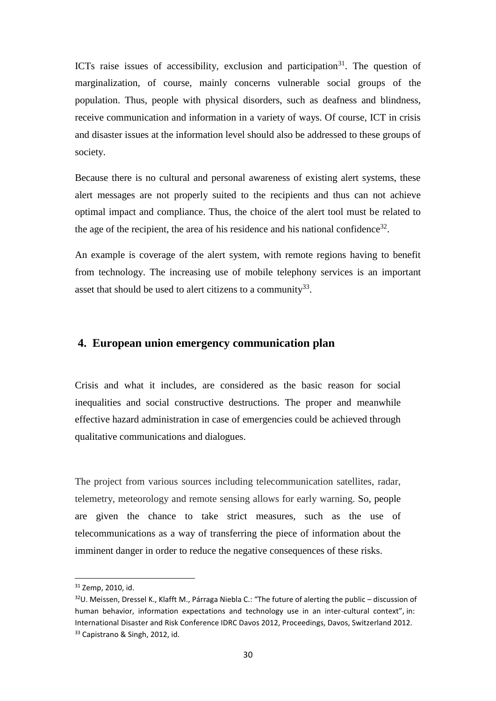ICTs raise issues of accessibility, exclusion and participation<sup>31</sup>. The question of marginalization, of course, mainly concerns vulnerable social groups of the population. Thus, people with physical disorders, such as deafness and blindness, receive communication and information in a variety of ways. Of course, ICT in crisis and disaster issues at the information level should also be addressed to these groups of society.

Because there is no cultural and personal awareness of existing alert systems, these alert messages are not properly suited to the recipients and thus can not achieve optimal impact and compliance. Thus, the choice of the alert tool must be related to the age of the recipient, the area of his residence and his national confidence<sup>32</sup>.

An example is coverage of the alert system, with remote regions having to benefit from technology. The increasing use of mobile telephony services is an important asset that should be used to alert citizens to a community $^{33}$ .

### <span id="page-29-0"></span>**4. European union emergency communication plan**

Crisis and what it includes, are considered as the basic reason for social inequalities and social constructive destructions. The proper and meanwhile effective hazard administration in case of emergencies could be achieved through qualitative communications and dialogues.

The project from various sources including telecommunication satellites, radar, telemetry, meteorology and remote sensing allows for early warning. So, people are given the chance to take strict measures, such as the use of telecommunications as a way of transferring the piece of information about the imminent danger in order to reduce the negative consequences of these risks.

 $\overline{a}$ 

<sup>31</sup> Zemp, 2010, id.

 $32$ U. Meissen, Dressel K., Klafft M., Párraga Niebla C.: "The future of alerting the public – discussion of human behavior, information expectations and technology use in an inter-cultural context", in: International Disaster and Risk Conference IDRC Davos 2012, Proceedings, Davos, Switzerland 2012. <sup>33</sup> Capistrano & Singh, 2012, id.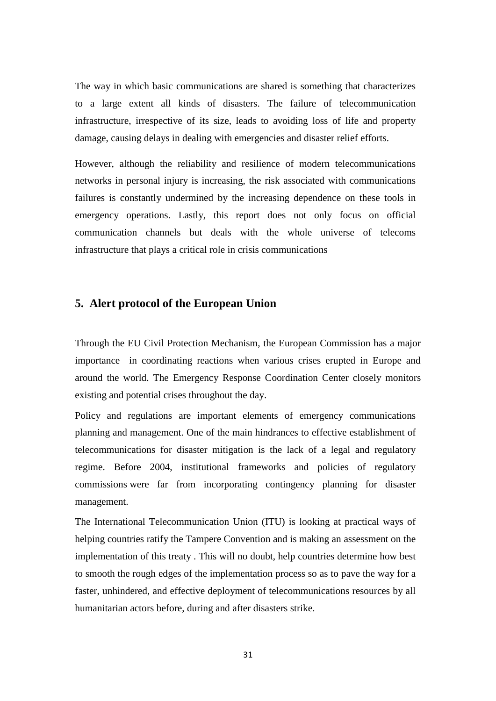The way in which basic communications are shared is something that characterizes to a large extent all kinds of disasters. The failure of telecommunication infrastructure, irrespective of its size, leads to avoiding loss of life and property damage, causing delays in dealing with emergencies and disaster relief efforts.

However, although the reliability and resilience of modern telecommunications networks in personal injury is increasing, the risk associated with communications failures is constantly undermined by the increasing dependence on these tools in emergency operations. Lastly, this report does not only focus on official communication channels but deals with the whole universe of telecoms infrastructure that plays a critical role in crisis communications

#### <span id="page-30-0"></span>**5. Alert protocol of the European Union**

Through the EU Civil Protection Mechanism, the European Commission has a major importance in coordinating reactions when various crises erupted in Europe and around the world. The Emergency Response Coordination Center closely monitors existing and potential crises throughout the day.

Policy and regulations are important elements of emergency communications planning and management. One of the main hindrances to effective establishment of telecommunications for disaster mitigation is the lack of a legal and regulatory regime. Before 2004, institutional frameworks and policies of regulatory commissions were far from incorporating contingency planning for disaster management.

The International Telecommunication Union (ITU) is looking at practical ways of helping countries ratify the Tampere Convention and is making an assessment on the implementation of this treaty . This will no doubt, help countries determine how best to smooth the rough edges of the implementation process so as to pave the way for a faster, unhindered, and effective deployment of telecommunications resources by all humanitarian actors before, during and after disasters strike.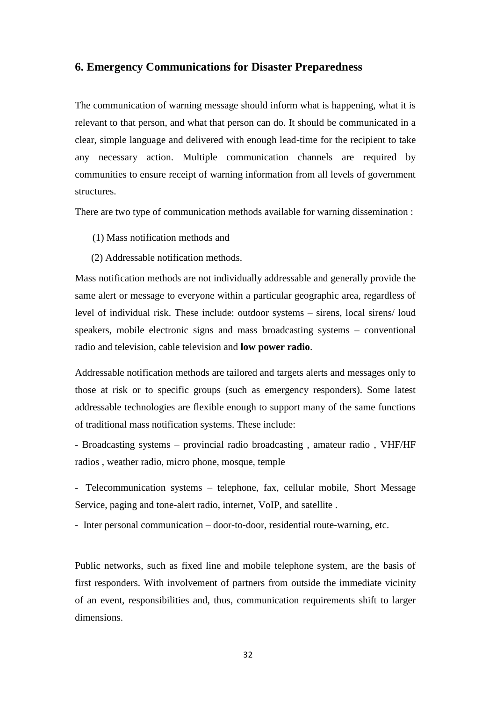#### **6. Emergency Communications for Disaster Preparedness**

The communication of warning message should inform what is happening, what it is relevant to that person, and what that person can do. It should be communicated in a clear, simple language and delivered with enough lead-time for the recipient to take any necessary action. Multiple communication channels are required by communities to ensure receipt of warning information from all levels of government structures.

There are two type of communication methods available for warning dissemination :

- (1) Mass notification methods and
- (2) Addressable notification methods.

Mass notification methods are not individually addressable and generally provide the same alert or message to everyone within a particular geographic area, regardless of level of individual risk. These include: outdoor systems – sirens, local sirens/ loud speakers, mobile electronic signs and mass broadcasting systems – conventional radio and television, cable television and **low power radio**.

Addressable notification methods are tailored and targets alerts and messages only to those at risk or to specific groups (such as emergency responders). Some latest addressable technologies are flexible enough to support many of the same functions of traditional mass notification systems. These include:

- Broadcasting systems – provincial radio broadcasting , amateur radio , VHF/HF radios , weather radio, micro phone, mosque, temple

- Telecommunication systems – telephone, fax, cellular mobile, Short Message Service, paging and tone-alert radio, internet, VoIP, and satellite .

- Inter personal communication – door-to-door, residential route-warning, etc.

Public networks, such as fixed line and mobile telephone system, are the basis of first responders. With involvement of partners from outside the immediate vicinity of an event, responsibilities and, thus, communication requirements shift to larger dimensions.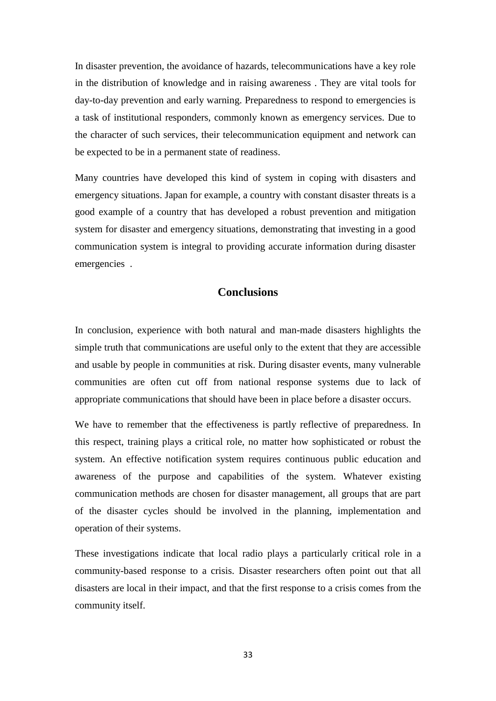In disaster prevention, the avoidance of hazards, telecommunications have a key role in the distribution of knowledge and in raising awareness . They are vital tools for day-to-day prevention and early warning. Preparedness to respond to emergencies is a task of institutional responders, commonly known as emergency services. Due to the character of such services, their telecommunication equipment and network can be expected to be in a permanent state of readiness.

Many countries have developed this kind of system in coping with disasters and emergency situations. Japan for example, a country with constant disaster threats is a good example of a country that has developed a robust prevention and mitigation system for disaster and emergency situations, demonstrating that investing in a good communication system is integral to providing accurate information during disaster emergencies .

### **Conclusions**

<span id="page-32-0"></span>In conclusion, experience with both natural and man-made disasters highlights the simple truth that communications are useful only to the extent that they are accessible and usable by people in communities at risk. During disaster events, many vulnerable communities are often cut off from national response systems due to lack of appropriate communications that should have been in place before a disaster occurs.

We have to remember that the effectiveness is partly reflective of preparedness. In this respect, training plays a critical role, no matter how sophisticated or robust the system. An effective notification system requires continuous public education and awareness of the purpose and capabilities of the system. Whatever existing communication methods are chosen for disaster management, all groups that are part of the disaster cycles should be involved in the planning, implementation and operation of their systems.

These investigations indicate that local radio plays a particularly critical role in a community-based response to a crisis. Disaster researchers often point out that all disasters are local in their impact, and that the first response to a crisis comes from the community itself.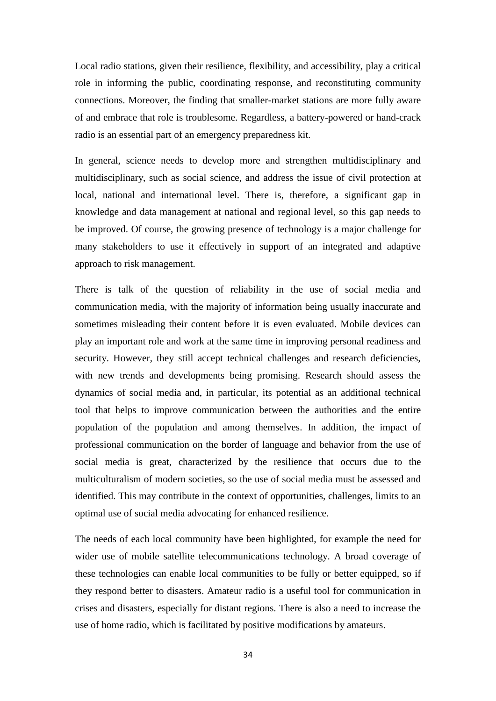Local radio stations, given their resilience, flexibility, and accessibility, play a critical role in informing the public, coordinating response, and reconstituting community connections. Moreover, the finding that smaller-market stations are more fully aware of and embrace that role is troublesome. Regardless, a battery-powered or hand-crack radio is an essential part of an emergency preparedness kit.

In general, science needs to develop more and strengthen multidisciplinary and multidisciplinary, such as social science, and address the issue of civil protection at local, national and international level. There is, therefore, a significant gap in knowledge and data management at national and regional level, so this gap needs to be improved. Of course, the growing presence of technology is a major challenge for many stakeholders to use it effectively in support of an integrated and adaptive approach to risk management.

There is talk of the question of reliability in the use of social media and communication media, with the majority of information being usually inaccurate and sometimes misleading their content before it is even evaluated. Mobile devices can play an important role and work at the same time in improving personal readiness and security. However, they still accept technical challenges and research deficiencies, with new trends and developments being promising. Research should assess the dynamics of social media and, in particular, its potential as an additional technical tool that helps to improve communication between the authorities and the entire population of the population and among themselves. In addition, the impact of professional communication on the border of language and behavior from the use of social media is great, characterized by the resilience that occurs due to the multiculturalism of modern societies, so the use of social media must be assessed and identified. This may contribute in the context of opportunities, challenges, limits to an optimal use of social media advocating for enhanced resilience.

The needs of each local community have been highlighted, for example the need for wider use of mobile satellite telecommunications technology. A broad coverage of these technologies can enable local communities to be fully or better equipped, so if they respond better to disasters. Amateur radio is a useful tool for communication in crises and disasters, especially for distant regions. There is also a need to increase the use of home radio, which is facilitated by positive modifications by amateurs.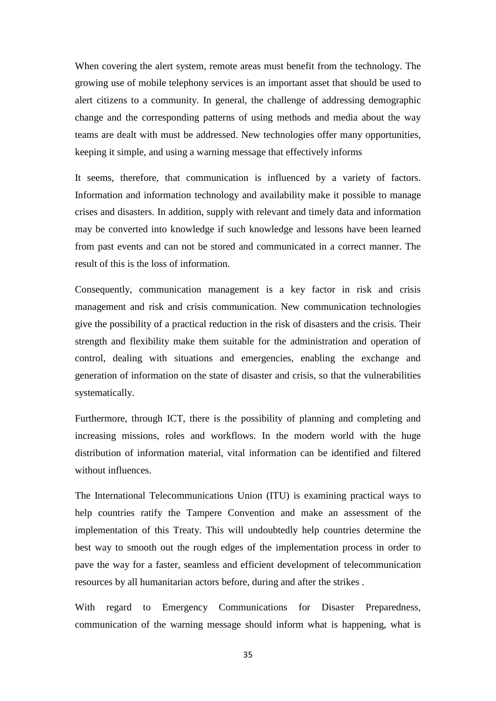When covering the alert system, remote areas must benefit from the technology. The growing use of mobile telephony services is an important asset that should be used to alert citizens to a community. In general, the challenge of addressing demographic change and the corresponding patterns of using methods and media about the way teams are dealt with must be addressed. New technologies offer many opportunities, keeping it simple, and using a warning message that effectively informs

It seems, therefore, that communication is influenced by a variety of factors. Information and information technology and availability make it possible to manage crises and disasters. In addition, supply with relevant and timely data and information may be converted into knowledge if such knowledge and lessons have been learned from past events and can not be stored and communicated in a correct manner. The result of this is the loss of information.

Consequently, communication management is a key factor in risk and crisis management and risk and crisis communication. New communication technologies give the possibility of a practical reduction in the risk of disasters and the crisis. Their strength and flexibility make them suitable for the administration and operation of control, dealing with situations and emergencies, enabling the exchange and generation of information on the state of disaster and crisis, so that the vulnerabilities systematically.

Furthermore, through ICT, there is the possibility of planning and completing and increasing missions, roles and workflows. In the modern world with the huge distribution of information material, vital information can be identified and filtered without influences.

The International Telecommunications Union (ITU) is examining practical ways to help countries ratify the Tampere Convention and make an assessment of the implementation of this Treaty. This will undoubtedly help countries determine the best way to smooth out the rough edges of the implementation process in order to pave the way for a faster, seamless and efficient development of telecommunication resources by all humanitarian actors before, during and after the strikes .

With regard to Emergency Communications for Disaster Preparedness, communication of the warning message should inform what is happening, what is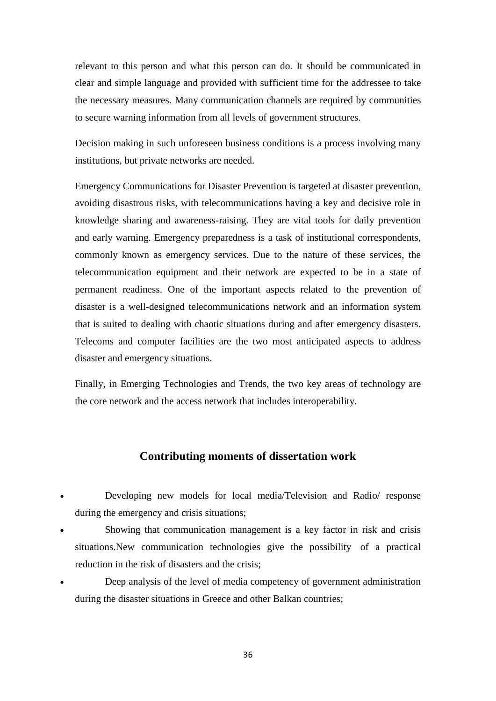relevant to this person and what this person can do. It should be communicated in clear and simple language and provided with sufficient time for the addressee to take the necessary measures. Many communication channels are required by communities to secure warning information from all levels of government structures.

Decision making in such unforeseen business conditions is a process involving many institutions, but private networks are needed.

Emergency Communications for Disaster Prevention is targeted at disaster prevention, avoiding disastrous risks, with telecommunications having a key and decisive role in knowledge sharing and awareness-raising. They are vital tools for daily prevention and early warning. Emergency preparedness is a task of institutional correspondents, commonly known as emergency services. Due to the nature of these services, the telecommunication equipment and their network are expected to be in a state of permanent readiness. One of the important aspects related to the prevention of disaster is a well-designed telecommunications network and an information system that is suited to dealing with chaotic situations during and after emergency disasters. Telecoms and computer facilities are the two most anticipated aspects to address disaster and emergency situations.

Finally, in Emerging Technologies and Trends, the two key areas of technology are the core network and the access network that includes interoperability.

#### **Contributing moments of dissertation work**

- Developing new models for local media/Television and Radio/ response during the emergency and crisis situations;
- Showing that communication management is a key factor in risk and crisis situations.New communication technologies give the possibility of a practical reduction in the risk of disasters and the crisis;
- Deep analysis of the level of media competency of government administration during the disaster situations in Greece and other Balkan countries;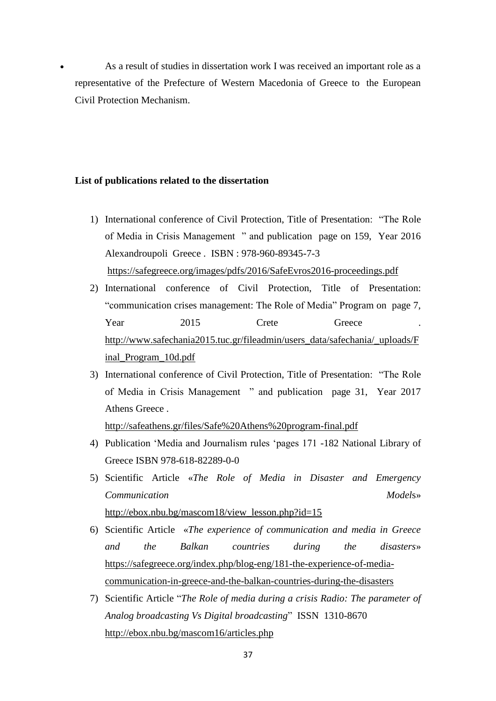As a result of studies in dissertation work I was received an important role as a representative of the Prefecture of Western Macedonia of Greece to the European Civil Protection Mechanism.

#### **List of publications related to the dissertation**

- 1) International conference of Civil Protection, Title of Presentation: "The Role of Media in Crisis Management " and publication page on 159, Year 2016 Alexandroupoli Greece . ISBN : 978-960-89345-7-3 <https://safegreece.org/images/pdfs/2016/SafeEvros2016-proceedings.pdf>
- 2) International conference of Civil Protection, Title of Presentation: "communication crises management: The Role of Media" Program on page 7, Year 2015 Crete Greece . [http://www.safechania2015.tuc.gr/fileadmin/users\\_data/safechania/\\_uploads/F](http://www.safechania2015.tuc.gr/fileadmin/users_data/safechania/_uploads/Final_Program_10d.pdf) [inal\\_Program\\_10d.pdf](http://www.safechania2015.tuc.gr/fileadmin/users_data/safechania/_uploads/Final_Program_10d.pdf)
- 3) International conference of Civil Protection, Title of Presentation: "The Role of Media in Crisis Management " and publication page 31, Year 2017 Athens Greece .

<http://safeathens.gr/files/Safe%20Athens%20program-final.pdf>

- 4) Publication 'Media and Journalism rules 'pages 171 -182 National Library of Greece ISBN 978-618-82289-0-0
- 5) Scientific Article «*The Role of Media in Disaster and Emergency Communication Model*s» [http://ebox.nbu.bg/mascom18/view\\_lesson.php?id=15](http://ebox.nbu.bg/mascom18/view_lesson.php?id=15)
- 6) Scientific Article «*The experience of communication and media in Greece and the Balkan countries during the disasters*» [https://safegreece.org/index.php/blog-eng/181-the-experience-of-media](https://safegreece.org/index.php/blog-eng/181-the-experience-of-media-communication-in-greece-and-the-balkan-countries-during-the-disasters)[communication-in-greece-and-the-balkan-countries-during-the-disasters](https://safegreece.org/index.php/blog-eng/181-the-experience-of-media-communication-in-greece-and-the-balkan-countries-during-the-disasters)
- 7) Scientific Article "*The Role of media during a crisis Radio: The parameter of Analog broadcasting Vs Digital broadcasting*" ISSN 1310-8670 <http://ebox.nbu.bg/mascom16/articles.php>